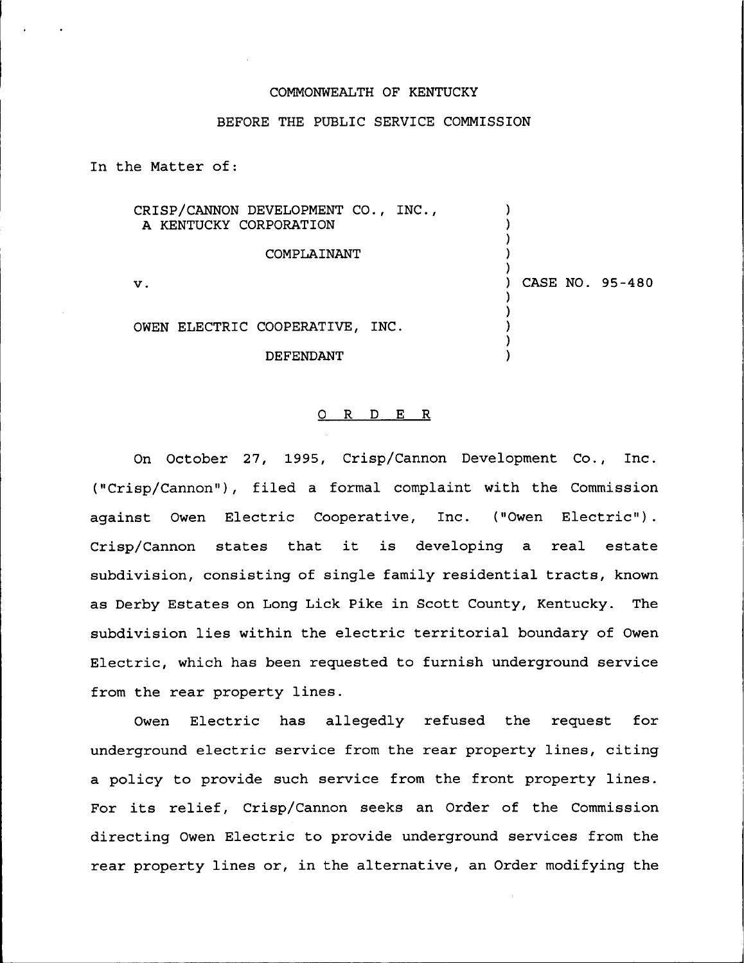## COMMONWEALTH OF KENTUCKY

## BEFORE THE PUBLIC SERVICE COMMISSION

In the Matter of:

| CRISP/CANNON DEVELOPMENT CO., INC.,<br>A KENTUCKY CORPORATION |                 |
|---------------------------------------------------------------|-----------------|
| COMPLAINANT                                                   |                 |
| $\mathbf{v}$ .                                                | CASE NO. 95-480 |
|                                                               |                 |
| OWEN ELECTRIC COOPERATIVE, INC.                               |                 |
| DEFENDANT                                                     |                 |

## 0 R <sup>D</sup> E R

On October 27, 1995, Crisp/Cannon Development Co., Inc. ("Crisp/Cannon"), filed a formal complaint with the Commission against Owen Electric Cooperative, Inc. ("Owen Electric"). Crisp/Cannon states that it is developing <sup>a</sup> real estate subdivision, consisting of single family residential tracts, known as Derby Estates on Long Lick Pike in Scott County, Kentucky. The subdivision lies within the electric territorial boundary of Owen Electric, which has been requested to furnish underground service from the rear property lines.

Owen Electric has allegedly refused the request for underground electric service from the rear property lines, citing a policy to provide such service from the front property lines. For its relief, Crisp/Cannon seeks an Order of the Commission directing Owen Electric to provide underground services from the rear property lines or, in the alternative, an Order modifying the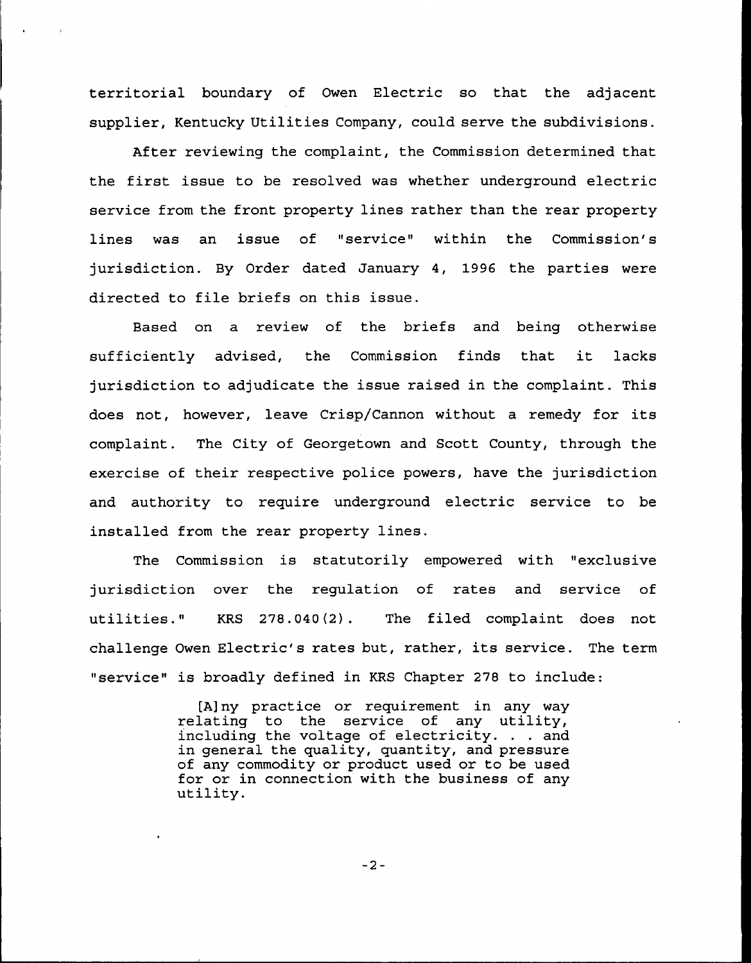territorial boundary of Owen Electric so that the adjacent supplier, Kentucky Utilities Company, could serve the subdivisions.

After reviewing the complaint, the Commission determined that the first issue to be resolved was whether underground electric service from the front property lines rather than the rear property lines was an issue of "service" within the Commission's jurisdiction. By Order dated January 4, 1996 the parties were directed to file briefs on this issue.

Based on a review of the briefs and being otherwise sufficiently advised, the Commission finds that it lacks jurisdiction to adjudicate the issue raised in the complaint. This does not, however, leave Crisp/Cannon without <sup>a</sup> remedy for its complaint. The City of Georgetown and Scott County, through the exercise of their respective police powers, have the jurisdiction and authority to require underground electric service to be installed from the rear property lines.

The Commission is statutorily empowered with "exclusive jurisdiction over the regulation of rates and service of utilities." KRS 278.040(2). The filed complaint does not challenge Owen Electric's rates but, rather, its service. The term "service" is broadly defined in KRS Chapter 278 to include:

> [A] ny practice or requirement in any way relating to the service of any utility, including the voltage of electricity. . . and in general the quality, quantity, and pressure of any commodity or product used or to be used for or in connection with the business of any utility.

> > $-2-$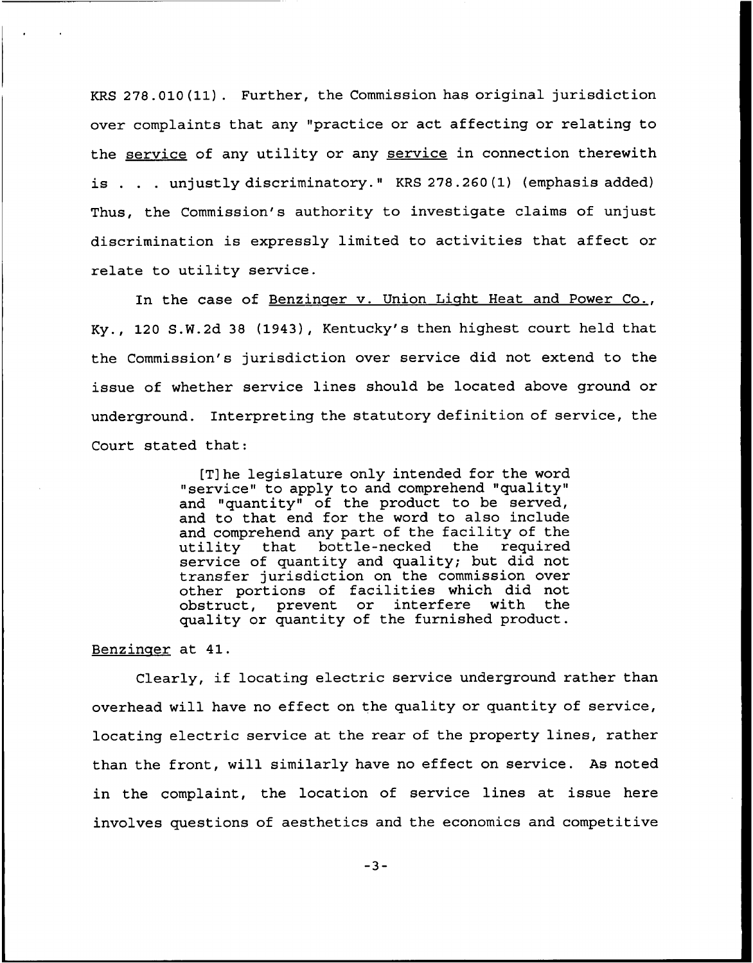KRS 278.010(11). Further, the Commission has original jurisdiction over complaints that any "practice or act affecting or relating to the service of any utility or any service in connection therewith is . . . unjustly discriminatory." KRS 278.260(1) (emphasis added) Thus, the Commission's authority to investigate claims of unjust discrimination is expressly limited to activities that affect or relate to utility service.

In the case of Benzinger v. Union Light Heat and Power Co., Ky., 120 S.W.2d 38 (1943), Kentucky's then highest court held that the Commission's jurisdiction over service did not extend to the issue of whether service lines should be located above ground ox underground. Interpreting the statutory definition of service, the Court stated that:

> [T]he legislature only intended for the word "service" to apply to and comprehend "quality" and "quantity" of the product to be served, and to that end for the word to also include and comprehend any part of the facility of the utility that bottle-necked the required bottle-necked the service of quantity and quality; but did not txansfer jurisdiction on the commission over other portions of facilities which did not<br>obstruct, prevent or interfere with the obstruct, prevent or interfere quality or quantity of the furnished product.

Benzinger at 41.

Clearly, if locating electric service underground rather than overhead will have no effect on the quality or quantity of sexvice, locating electric service at the rear of the property lines, rather than the front, will similarly have no effect on service. As noted in the complaint, the location of service lines at issue here involves questions of aesthetics and the economics and competitive

 $-3-$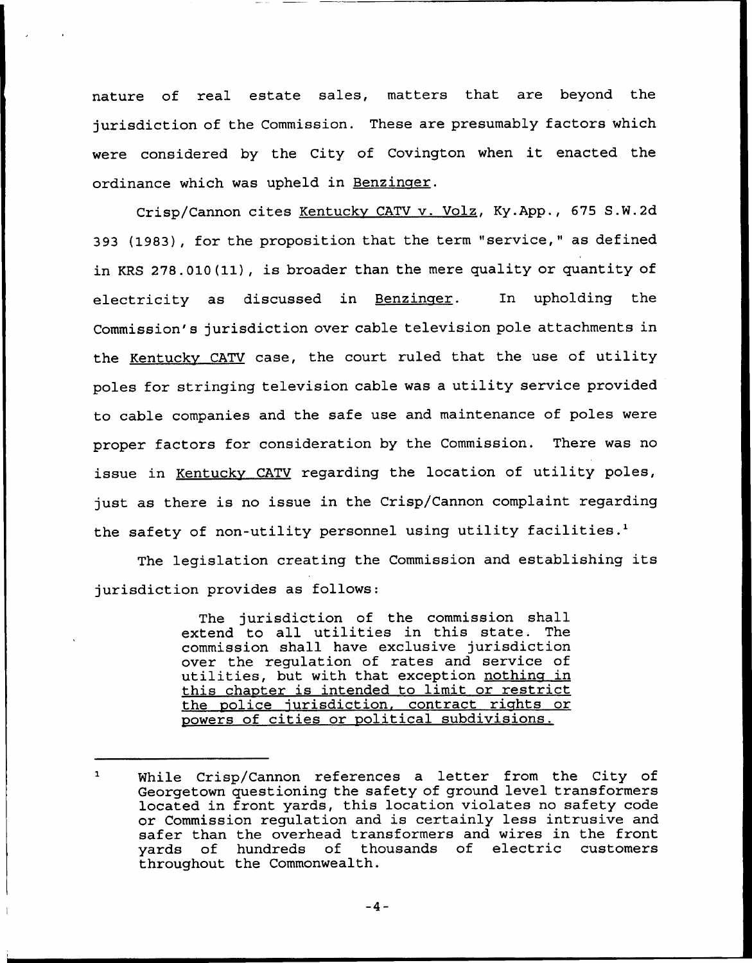nature of real estate sales, matters that are beyond the jurisdiction of the Commission. These are presumably factors which were considered by the City of Covington when it enacted the ordinance which was upheld in Benzinger.

Crisp/Cannon cites Kentuckv CATV v. Volz, Ky.App., 675 S.W.2d 393 (1983}, for the proposition that the term "service," as defined in KRS 278.010(11), is broader than the mere quality or quantity of electricity as discussed in Benzinger. In upholding the Commission's jurisdiction over cable television pole attachments in the Kentucky CATV case, the court ruled that the use of utility poles for stringing television cable was <sup>a</sup> utility service provided to cable companies and the safe use and maintenance of poles were proper factors for consideration by the Commission. There was no issue in Kentucky CATV regarding the location of utility poles, just as there is no issue in the Crisp/Cannon complaint regarding the safety of non-utility personnel using utility facilities.<sup>1</sup>

The legislation creating the Commission and establishing its jurisdiction provides as follows:

> The jurisdiction of the commission shall extend to all utilities in this state. The commission shall have exclusive jurisdiction over the regulation of rates and service of utilities, but with that exception nothing in this chapter is intended to limit or restrict the police jurisdiction, contract rights or powers of cities or political subdivisions.

 $\mathbf{1}$ While Crisp/Cannon references a letter from the City of Georgetown questioning the safety of ground level transformers located in front yards, this location violates no safety code or Commission regulation and is certainly less intrusive and safer than the overhead transformers and wires in the front<br>yards of hundreds of thousands of electric customers of thousands of electric throughout the Commonwealth.